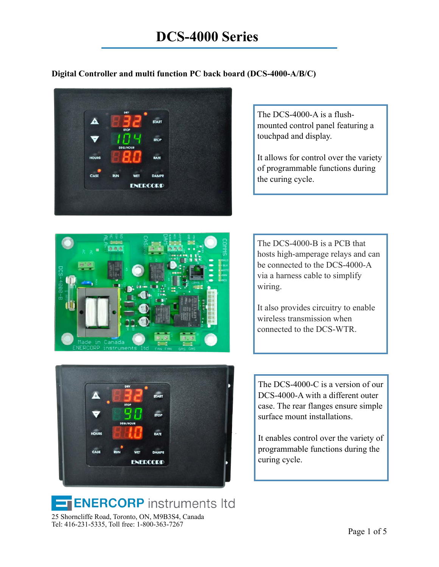### **Digital Controller and multi function PC back board (DCS-4000-A/B/C)**





The DCS-4000-A is a flushmounted control panel featuring a touchpad and display.

It allows for control over the variety of programmable functions during the curing cycle.

The DCS-4000-B is a PCB that hosts high-amperage relays and can be connected to the DCS-4000-A via a harness cable to simplify wiring.

It also provides circuitry to enable wireless transmission when connected to the DCS-WTR.

The DCS-4000-C is a version of our DCS-4000-A with a different outer case. The rear flanges ensure simple surface mount installations.

It enables control over the variety of programmable functions during the curing cycle.



**ENERCORP** instruments Itd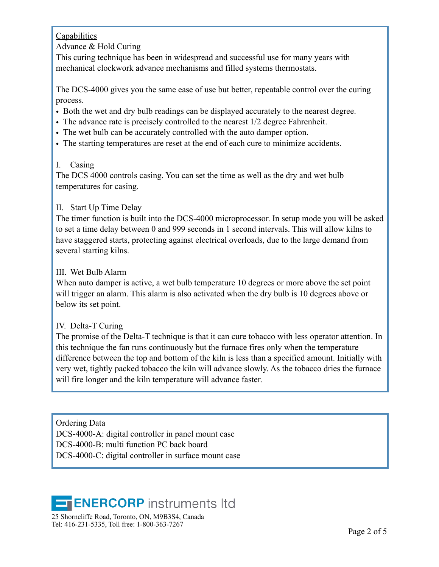### **Capabilities**

### Advance & Hold Curing

This curing technique has been in widespread and successful use for many years with mechanical clockwork advance mechanisms and filled systems thermostats.

The DCS-4000 gives you the same ease of use but better, repeatable control over the curing process.

- Both the wet and dry bulb readings can be displayed accurately to the nearest degree.
- The advance rate is precisely controlled to the nearest 1/2 degree Fahrenheit.
- The wet bulb can be accurately controlled with the auto damper option.
- The starting temperatures are reset at the end of each cure to minimize accidents.

### I. Casing

The DCS 4000 controls casing. You can set the time as well as the dry and wet bulb temperatures for casing.

### II. Start Up Time Delay

The timer function is built into the DCS-4000 microprocessor. In setup mode you will be asked to set a time delay between 0 and 999 seconds in 1 second intervals. This will allow kilns to have staggered starts, protecting against electrical overloads, due to the large demand from several starting kilns.

### III. Wet Bulb Alarm

When auto damper is active, a wet bulb temperature 10 degrees or more above the set point will trigger an alarm. This alarm is also activated when the dry bulb is 10 degrees above or below its set point.

### IV. Delta-T Curing

The promise of the Delta-T technique is that it can cure tobacco with less operator attention. In this technique the fan runs continuously but the furnace fires only when the temperature difference between the top and bottom of the kiln is less than a specified amount. Initially with very wet, tightly packed tobacco the kiln will advance slowly. As the tobacco dries the furnace will fire longer and the kiln temperature will advance faster.

Ordering Data DCS-4000-A: digital controller in panel mount case DCS-4000-B: multi function PC back board DCS-4000-C: digital controller in surface mount case

## **ENERCORP** instruments Itd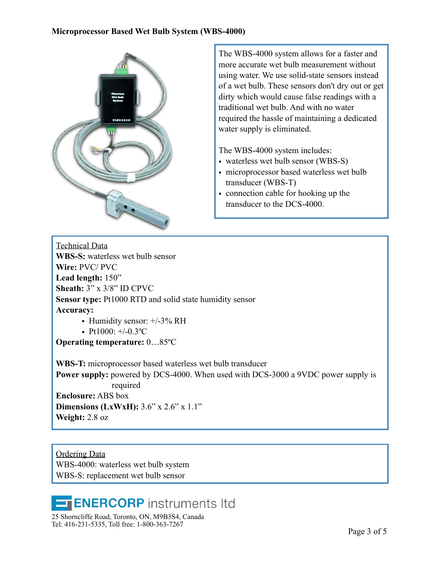

The WBS-4000 system allows for a faster and more accurate wet bulb measurement without using water. We use solid-state sensors instead of a wet bulb. These sensors don't dry out or get dirty which would cause false readings with a traditional wet bulb. And with no water required the hassle of maintaining a dedicated water supply is eliminated.

The WBS-4000 system includes:

- waterless wet bulb sensor (WBS-S)
- microprocessor based waterless wet bulb transducer (WBS-T)
- connection cable for hooking up the transducer to the DCS-4000.

Technical Data **WBS-S:** waterless wet bulb sensor **Wire:** PVC/ PVC **Lead length:** 150" **Sheath:** 3" x 3/8" ID CPVC **Sensor type:** Pt1000 RTD and solid state humidity sensor **Accuracy:**

• Humidity sensor:  $+/-3\%$  RH

• Pt1000:  $+/-0.3$ °C

**Operating temperature:** 0…85ºC

**WBS-T:** microprocessor based waterless wet bulb transducer **Power supply:** powered by DCS-4000. When used with DCS-3000 a 9VDC power supply is required **Enclosure:** ABS box **Dimensions (LxWxH):** 3.6" x 2.6" x 1.1" **Weight:** 2.8 oz

Ordering Data WBS-4000: waterless wet bulb system WBS-S: replacement wet bulb sensor

# **ENERCORP** instruments Itd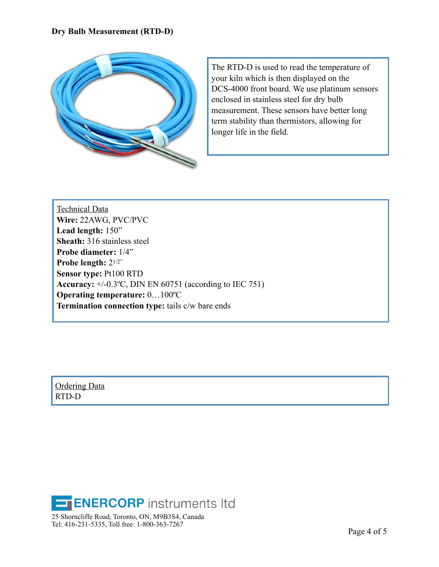

The RTD-D is used to read the temperature of your kiln which is then displayed on the DCS-4000 front board. We use platinum sensors enclosed in stainless steel for dry bulb measurement. These sensors have better long term stability than thermistors, allowing for longer life in the field.

Technical Data **Wire:** 22AWG, PVC/PVC **Lead length:** 150" **Sheath:** 316 stainless steel **Probe diameter:** 1/4" **Probe length:** 21/2" **Sensor type:** Pt100 RTD **Accuracy:** +/-0.3ºC, DIN EN 60751 (according to IEC 751) **Operating temperature:** 0…100ºC **Termination connection type:** tails c/w bare ends

Ordering Data RTD-D

**ENERCORP** instruments Itd 25 Shorncliffe Road, Toronto, ON, M9B3S4, Canada Tel: 416-231-5335, Toll free: 1-800-363-7267